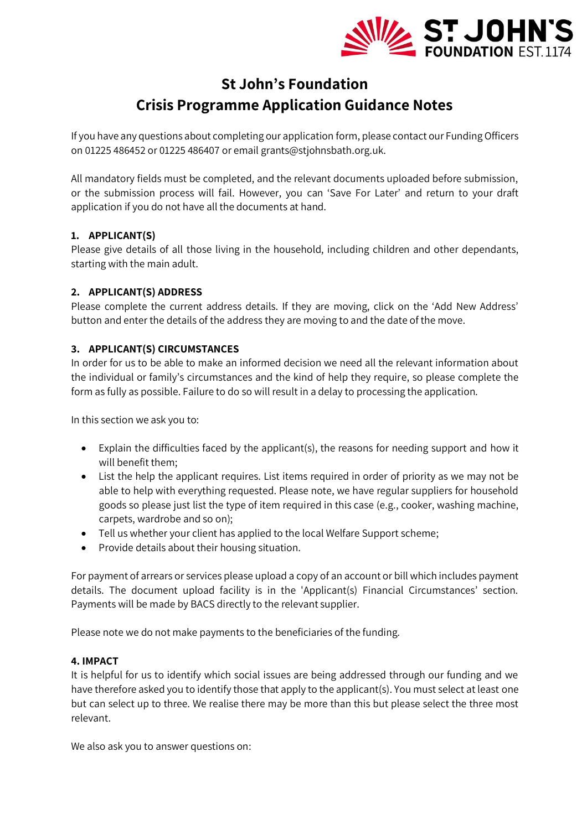

# **St John's Foundation Crisis Programme Application Guidance Notes**

If you have any questions about completing our application form, please contact our Funding Officers on 01225 486452 or 01225 486407 or email grants@stjohnsbath.org.uk.

All mandatory fields must be completed, and the relevant documents uploaded before submission, or the submission process will fail. However, you can 'Save For Later' and return to your draft application if you do not have all the documents at hand.

## **1. APPLICANT(S)**

Please give details of all those living in the household, including children and other dependants, starting with the main adult.

## **2. APPLICANT(S) ADDRESS**

Please complete the current address details. If they are moving, click on the 'Add New Address' button and enter the details of the address they are moving to and the date of the move.

## **3. APPLICANT(S) CIRCUMSTANCES**

In order for us to be able to make an informed decision we need all the relevant information about the individual or family's circumstances and the kind of help they require, so please complete the form as fully as possible. Failure to do so will result in a delay to processing the application.

In this section we ask you to:

- Explain the difficulties faced by the applicant(s), the reasons for needing support and how it will benefit them;
- List the help the applicant requires. List items required in order of priority as we may not be able to help with everything requested. Please note, we have regular suppliers for household goods so please just list the type of item required in this case (e.g., cooker, washing machine, carpets, wardrobe and so on);
- Tell us whether your client has applied to the local Welfare Support scheme;
- Provide details about their housing situation.

For payment of arrears or services please upload a copy of an account or bill which includes payment details. The document upload facility is in the 'Applicant(s) Financial Circumstances' section. Payments will be made by BACS directly to the relevant supplier.

Please note we do not make payments to the beneficiaries of the funding.

#### **4. IMPACT**

It is helpful for us to identify which social issues are being addressed through our funding and we have therefore asked you to identify those that apply to the applicant(s). You must select at least one but can select up to three. We realise there may be more than this but please select the three most relevant.

We also ask you to answer questions on: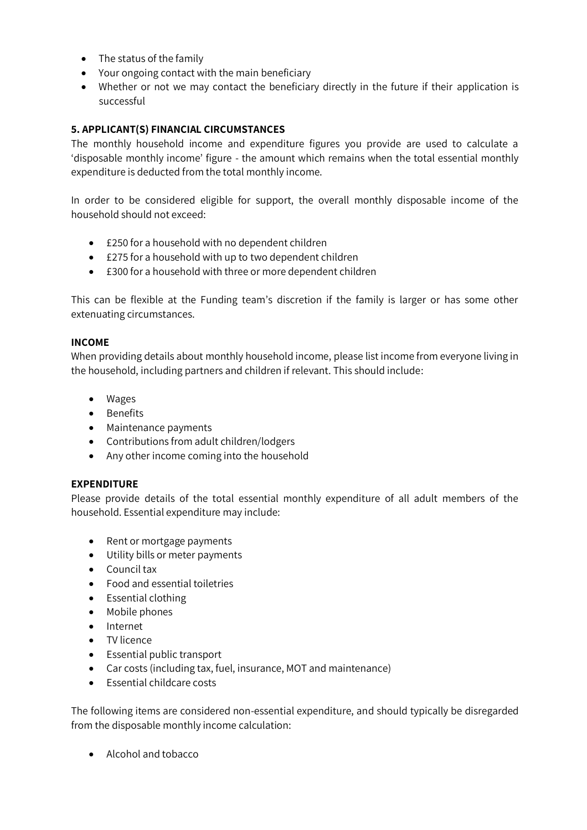- The status of the family
- Your ongoing contact with the main beneficiary
- Whether or not we may contact the beneficiary directly in the future if their application is successful

#### **5. APPLICANT(S) FINANCIAL CIRCUMSTANCES**

The monthly household income and expenditure figures you provide are used to calculate a 'disposable monthly income' figure - the amount which remains when the total essential monthly expenditure is deducted from the total monthly income.

In order to be considered eligible for support, the overall monthly disposable income of the household should not exceed:

- £250 for a household with no dependent children
- £275 for a household with up to two dependent children
- £300 for a household with three or more dependent children

This can be flexible at the Funding team's discretion if the family is larger or has some other extenuating circumstances.

#### **INCOME**

When providing details about monthly household income, please list income from everyone living in the household, including partners and children if relevant. This should include:

- Wages
- Benefits
- Maintenance payments
- Contributions from adult children/lodgers
- Any other income coming into the household

#### **EXPENDITURE**

Please provide details of the total essential monthly expenditure of all adult members of the household. Essential expenditure may include:

- Rent or mortgage payments
- Utility bills or meter payments
- Council tax
- Food and essential toiletries
- Essential clothing
- Mobile phones
- Internet
- TV licence
- Essential public transport
- Car costs (including tax, fuel, insurance, MOT and maintenance)
- Essential childcare costs

The following items are considered non-essential expenditure, and should typically be disregarded from the disposable monthly income calculation:

• Alcohol and tobacco